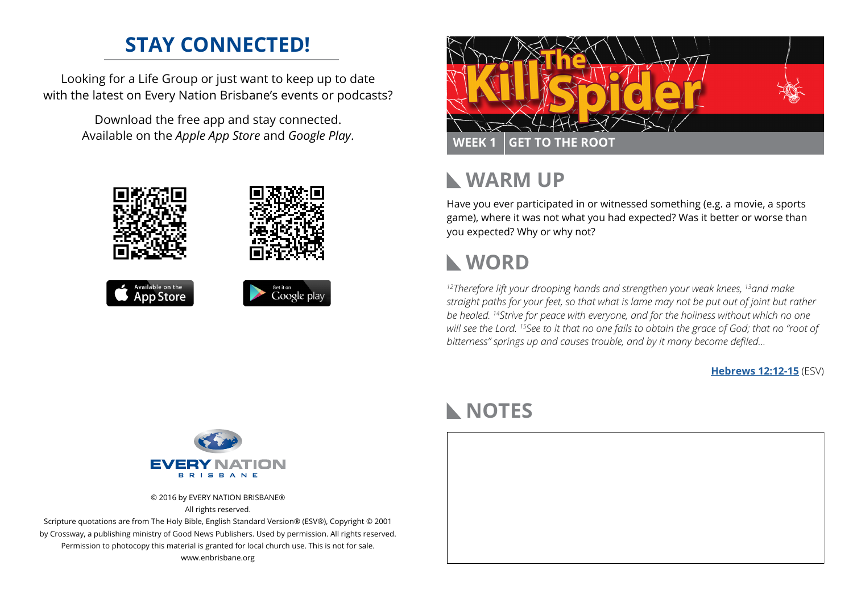# **STAY CONNECTED!**

Looking for a Life Group or just want to keep up to date with the latest on Every Nation Brisbane's events or podcasts?

> Download the free app and stay connected. Available on the *Apple App Store* and *Google Play*.





## **WARM UP**  $\mathbf{L}$

Have you ever participated in or witnessed something (e.g. a movie, a sports game), where it was not what you had expected? Was it better or worse than you expected? Why or why not?

# **WORD**

*12Therefore lift your drooping hands and strengthen your weak knees, 13and make straight paths for your feet, so that what is lame may not be put out of joint but rather be healed. 14Strive for peace with everyone, and for the holiness without which no one will see the Lord. 15See to it that no one fails to obtain the grace of God; that no "root of bitterness" springs up and causes trouble, and by it many become defiled...*

**[Hebrews 12:12-15](https://www.biblegateway.com/passage/?search=Hebrews+12%3A12-15&version=ESV)** (ESV)



© 2016 by EVERY NATION BRISBANE® All rights reserved.

Scripture quotations are from The Holy Bible, English Standard Version® (ESV®), Copyright © 2001 by Crossway, a publishing ministry of Good News Publishers. Used by permission. All rights reserved. Permission to photocopy this material is granted for local church use. This is not for sale. www.enbrisbane.org

# **NOTES**